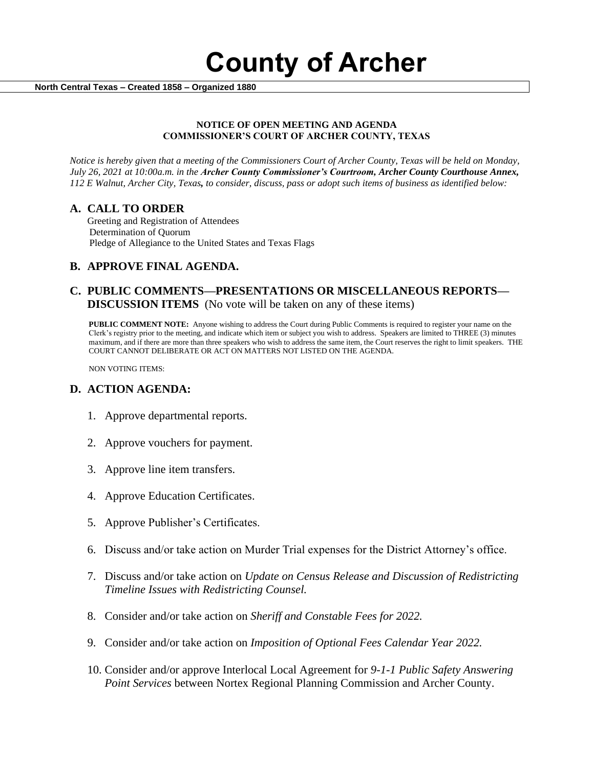**County of Archer** 

 **North Central Texas – Created 1858 – Organized 1880**

### **NOTICE OF OPEN MEETING AND AGENDA COMMISSIONER'S COURT OF ARCHER COUNTY, TEXAS**

*Notice is hereby given that a meeting of the Commissioners Court of Archer County, Texas will be held on Monday, July 26, 2021 at 10:00a.m. in the Archer County Commissioner's Courtroom, Archer County Courthouse Annex, 112 E Walnut, Archer City, Texas, to consider, discuss, pass or adopt such items of business as identified below:*

### **A. CALL TO ORDER**

 Greeting and Registration of Attendees Determination of Quorum Pledge of Allegiance to the United States and Texas Flags

# **B. APPROVE FINAL AGENDA.**

# **C. PUBLIC COMMENTS—PRESENTATIONS OR MISCELLANEOUS REPORTS— DISCUSSION ITEMS** (No vote will be taken on any of these items)

**PUBLIC COMMENT NOTE:** Anyone wishing to address the Court during Public Comments is required to register your name on the Clerk's registry prior to the meeting, and indicate which item or subject you wish to address. Speakers are limited to THREE (3) minutes maximum, and if there are more than three speakers who wish to address the same item, the Court reserves the right to limit speakers. THE COURT CANNOT DELIBERATE OR ACT ON MATTERS NOT LISTED ON THE AGENDA.

NON VOTING ITEMS:

# **D. ACTION AGENDA:**

- 1. Approve departmental reports.
- 2. Approve vouchers for payment.
- 3. Approve line item transfers.
- 4. Approve Education Certificates.
- 5. Approve Publisher's Certificates.
- 6. Discuss and/or take action on Murder Trial expenses for the District Attorney's office.
- 7. Discuss and/or take action on *Update on Census Release and Discussion of Redistricting Timeline Issues with Redistricting Counsel.*
- 8. Consider and/or take action on *Sheriff and Constable Fees for 2022.*
- 9. Consider and/or take action on *Imposition of Optional Fees Calendar Year 2022.*
- 10. Consider and/or approve Interlocal Local Agreement for *9-1-1 Public Safety Answering Point Services* between Nortex Regional Planning Commission and Archer County.